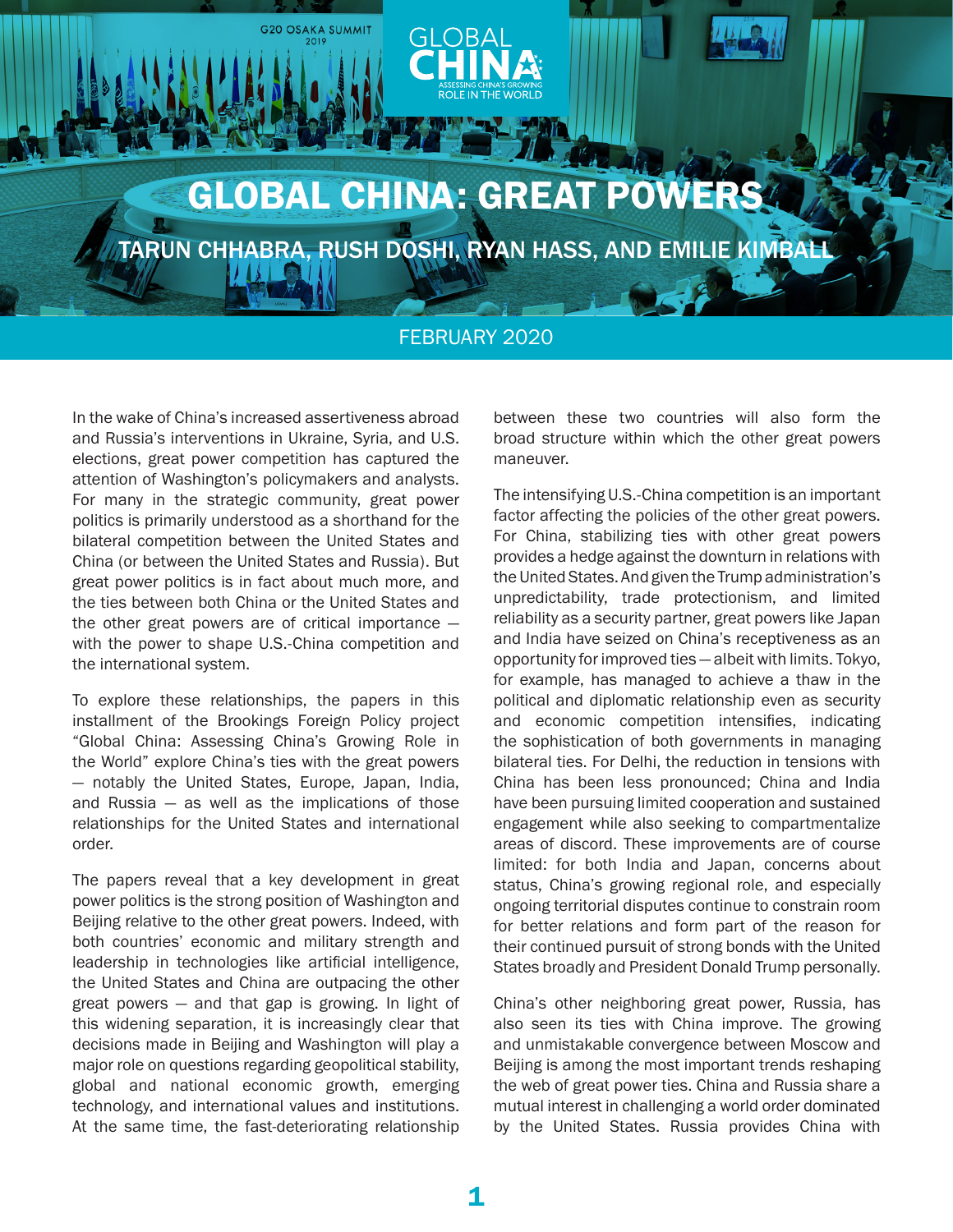

TARUN CHHABRA, RUSH DOSHI, RYAN HASS, AND EMILIE KIMBAL

### FEBRUARY 2020

In the wake of China's increased assertiveness abroad and Russia's interventions in Ukraine, Syria, and U.S. elections, great power competition has captured the attention of Washington's policymakers and analysts. For many in the strategic community, great power politics is primarily understood as a shorthand for the bilateral competition between the United States and China (or between the United States and Russia). But great power politics is in fact about much more, and the ties between both China or the United States and the other great powers are of critical importance with the power to shape U.S.-China competition and the international system.

**G20 OSAKA SUMMIT** 

To explore these relationships, the papers in this installment of the Brookings Foreign Policy project "Global China: Assessing China's Growing Role in the World" explore China's ties with the great powers — notably the United States, Europe, Japan, India, and Russia — as well as the implications of those relationships for the United States and international order.

The papers reveal that a key development in great power politics is the strong position of Washington and Beijing relative to the other great powers. Indeed, with both countries' economic and military strength and leadership in technologies like artificial intelligence, the United States and China are outpacing the other great powers — and that gap is growing. In light of this widening separation, it is increasingly clear that decisions made in Beijing and Washington will play a major role on questions regarding geopolitical stability, global and national economic growth, emerging technology, and international values and institutions. At the same time, the fast-deteriorating relationship

between these two countries will also form the broad structure within which the other great powers maneuver.

The intensifying U.S.-China competition is an important factor affecting the policies of the other great powers. For China, stabilizing ties with other great powers provides a hedge against the downturn in relations with the United States. And given the Trump administration's unpredictability, trade protectionism, and limited reliability as a security partner, great powers like Japan and India have seized on China's receptiveness as an opportunity for improved ties — albeit with limits. Tokyo, for example, has managed to achieve a thaw in the political and diplomatic relationship even as security and economic competition intensifies, indicating the sophistication of both governments in managing bilateral ties. For Delhi, the reduction in tensions with China has been less pronounced; China and India have been pursuing limited cooperation and sustained engagement while also seeking to compartmentalize areas of discord. These improvements are of course limited: for both India and Japan, concerns about status, China's growing regional role, and especially ongoing territorial disputes continue to constrain room for better relations and form part of the reason for their continued pursuit of strong bonds with the United States broadly and President Donald Trump personally.

China's other neighboring great power, Russia, has also seen its ties with China improve. The growing and unmistakable convergence between Moscow and Beijing is among the most important trends reshaping the web of great power ties. China and Russia share a mutual interest in challenging a world order dominated by the United States. Russia provides China with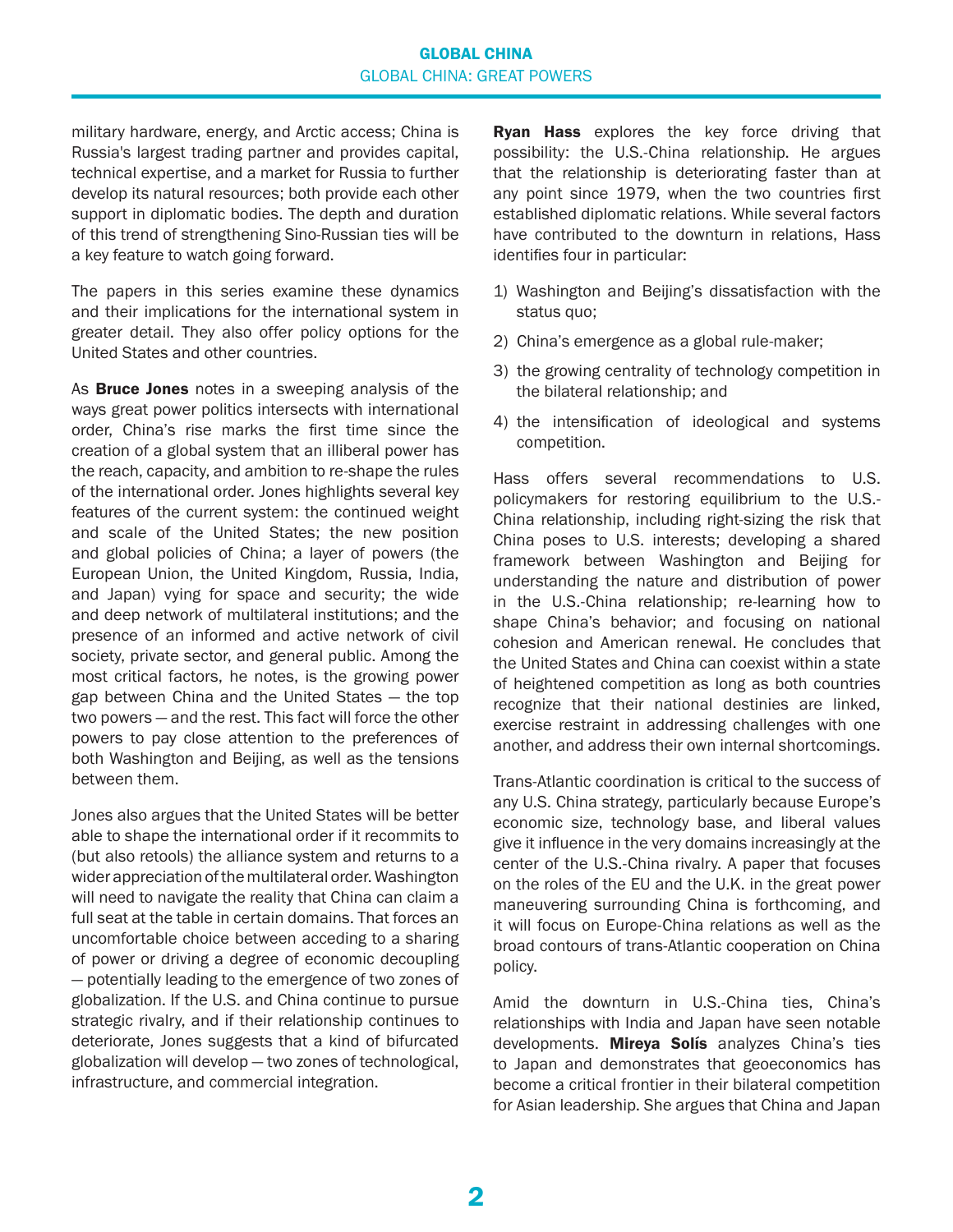#### GLOBAL CHINA GLOBAL CHINA: GREAT POWERS

military hardware, energy, and Arctic access; China is Russia's largest trading partner and provides capital, technical expertise, and a market for Russia to further develop its natural resources; both provide each other support in diplomatic bodies. The depth and duration of this trend of strengthening Sino-Russian ties will be a key feature to watch going forward.

The papers in this series examine these dynamics and their implications for the international system in greater detail. They also offer policy options for the United States and other countries.

As **Bruce Jones** notes in a sweeping analysis of the ways great power politics intersects with international order, China's rise marks the first time since the creation of a global system that an illiberal power has the reach, capacity, and ambition to re-shape the rules of the international order. Jones highlights several key features of the current system: the continued weight and scale of the United States; the new position and global policies of China; a layer of powers (the European Union, the United Kingdom, Russia, India, and Japan) vying for space and security; the wide and deep network of multilateral institutions; and the presence of an informed and active network of civil society, private sector, and general public. Among the most critical factors, he notes, is the growing power gap between China and the United States — the top two powers — and the rest. This fact will force the other powers to pay close attention to the preferences of both Washington and Beijing, as well as the tensions between them.

Jones also argues that the United States will be better able to shape the international order if it recommits to (but also retools) the alliance system and returns to a wider appreciation of the multilateral order. Washington will need to navigate the reality that China can claim a full seat at the table in certain domains. That forces an uncomfortable choice between acceding to a sharing of power or driving a degree of economic decoupling — potentially leading to the emergence of two zones of globalization. If the U.S. and China continue to pursue strategic rivalry, and if their relationship continues to deteriorate, Jones suggests that a kind of bifurcated globalization will develop — two zones of technological, infrastructure, and commercial integration.

Ryan Hass explores the key force driving that possibility: the U.S.-China relationship. He argues that the relationship is deteriorating faster than at any point since 1979, when the two countries first established diplomatic relations. While several factors have contributed to the downturn in relations, Hass identifies four in particular:

- 1) Washington and Beijing's dissatisfaction with the status quo:
- 2) China's emergence as a global rule-maker;
- 3) the growing centrality of technology competition in the bilateral relationship; and
- 4) the intensification of ideological and systems competition.

Hass offers several recommendations to U.S. policymakers for restoring equilibrium to the U.S.- China relationship, including right-sizing the risk that China poses to U.S. interests; developing a shared framework between Washington and Beijing for understanding the nature and distribution of power in the U.S.-China relationship; re-learning how to shape China's behavior; and focusing on national cohesion and American renewal. He concludes that the United States and China can coexist within a state of heightened competition as long as both countries recognize that their national destinies are linked, exercise restraint in addressing challenges with one another, and address their own internal shortcomings.

Trans-Atlantic coordination is critical to the success of any U.S. China strategy, particularly because Europe's economic size, technology base, and liberal values give it influence in the very domains increasingly at the center of the U.S.-China rivalry. A paper that focuses on the roles of the EU and the U.K. in the great power maneuvering surrounding China is forthcoming, and it will focus on Europe-China relations as well as the broad contours of trans-Atlantic cooperation on China policy.

Amid the downturn in U.S.-China ties, China's relationships with India and Japan have seen notable developments. Mireya Solís analyzes China's ties to Japan and demonstrates that geoeconomics has become a critical frontier in their bilateral competition for Asian leadership. She argues that China and Japan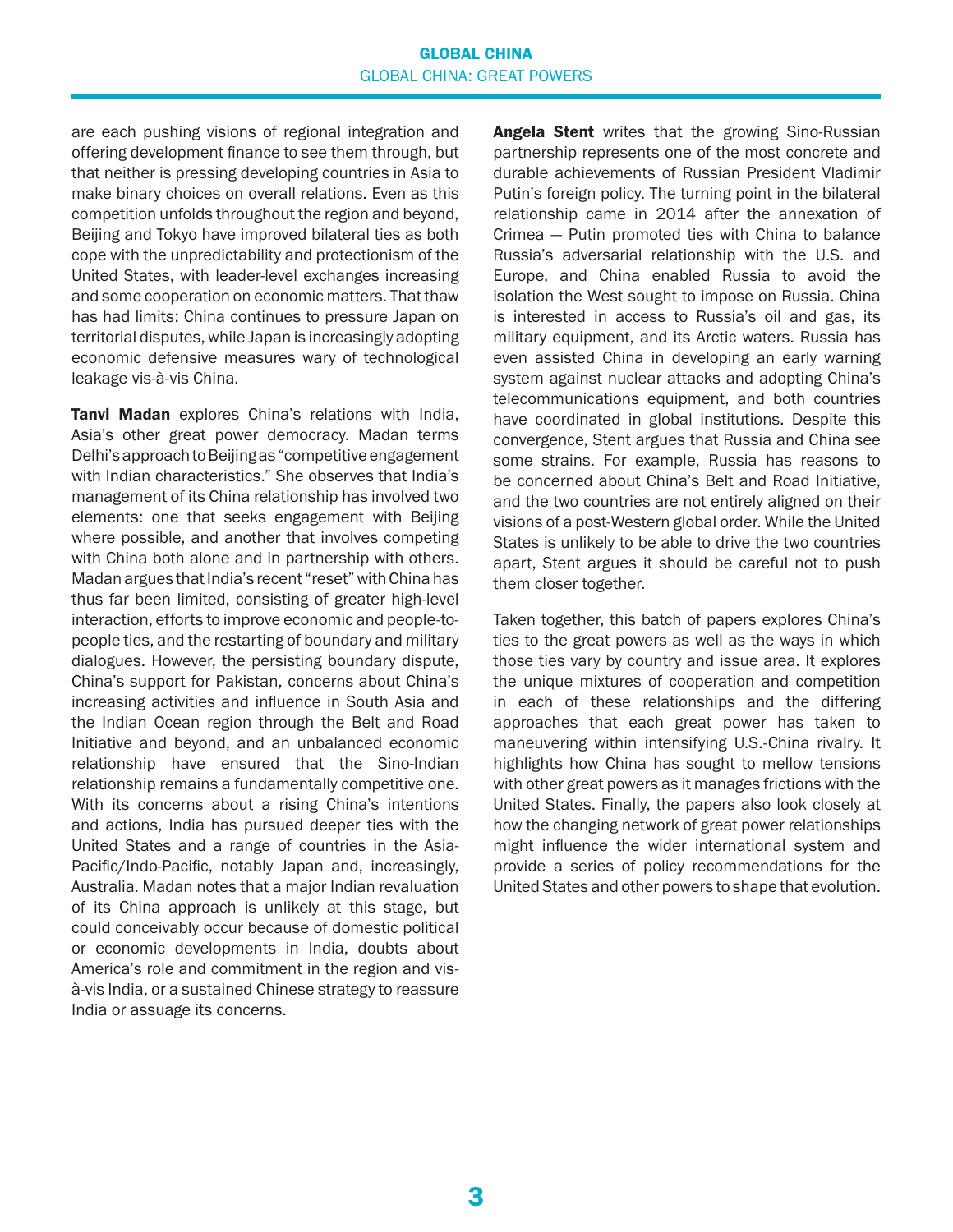#### GLOBAL CHINA GLOBAL CHINA: GREAT POWERS

are each pushing visions of regional integration and offering development finance to see them through, but that neither is pressing developing countries in Asia to make binary choices on overall relations. Even as this competition unfolds throughout the region and beyond, Beijing and Tokyo have improved bilateral ties as both cope with the unpredictability and protectionism of the United States, with leader-level exchanges increasing and some cooperation on economic matters. That thaw has had limits: China continues to pressure Japan on territorial disputes, while Japan is increasingly adopting economic defensive measures wary of technological leakage vis-à-vis China.

**Tanvi Madan** explores China's relations with India, Asia's other great power democracy. Madan terms Delhi's approach to Beijing as "competitive engagement with Indian characteristics." She observes that India's management of its China relationship has involved two elements: one that seeks engagement with Beijing where possible, and another that involves competing with China both alone and in partnership with others. Madan argues that India's recent "reset" with China has thus far been limited, consisting of greater high-level interaction, efforts to improve economic and people-topeople ties, and the restarting of boundary and military dialogues. However, the persisting boundary dispute, China's support for Pakistan, concerns about China's increasing activities and influence in South Asia and the Indian Ocean region through the Belt and Road Initiative and beyond, and an unbalanced economic relationship have ensured that the Sino-Indian relationship remains a fundamentally competitive one. With its concerns about a rising China's intentions and actions, India has pursued deeper ties with the United States and a range of countries in the Asia-Pacific/Indo-Pacific, notably Japan and, increasingly, Australia. Madan notes that a major Indian revaluation of its China approach is unlikely at this stage, but could conceivably occur because of domestic political or economic developments in India, doubts about America's role and commitment in the region and visà-vis India, or a sustained Chinese strategy to reassure India or assuage its concerns.

Angela Stent writes that the growing Sino-Russian partnership represents one of the most concrete and durable achievements of Russian President Vladimir Putin's foreign policy. The turning point in the bilateral relationship came in 2014 after the annexation of Crimea — Putin promoted ties with China to balance Russia's adversarial relationship with the U.S. and Europe, and China enabled Russia to avoid the isolation the West sought to impose on Russia. China is interested in access to Russia's oil and gas, its military equipment, and its Arctic waters. Russia has even assisted China in developing an early warning system against nuclear attacks and adopting China's telecommunications equipment, and both countries have coordinated in global institutions. Despite this convergence, Stent argues that Russia and China see some strains. For example, Russia has reasons to be concerned about China's Belt and Road Initiative, and the two countries are not entirely aligned on their visions of a post-Western global order. While the United States is unlikely to be able to drive the two countries apart, Stent argues it should be careful not to push them closer together.

Taken together, this batch of papers explores China's ties to the great powers as well as the ways in which those ties vary by country and issue area. It explores the unique mixtures of cooperation and competition in each of these relationships and the differing approaches that each great power has taken to maneuvering within intensifying U.S.-China rivalry. It highlights how China has sought to mellow tensions with other great powers as it manages frictions with the United States. Finally, the papers also look closely at how the changing network of great power relationships might influence the wider international system and provide a series of policy recommendations for the United States and other powers to shape that evolution.